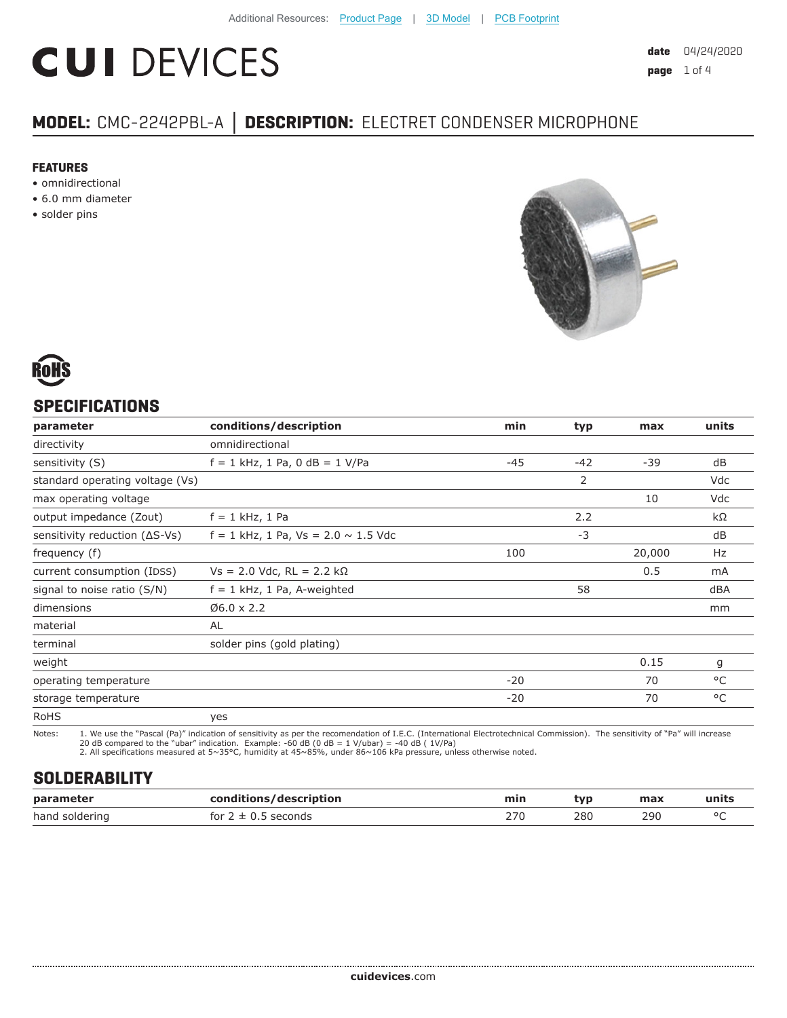# **CUI DEVICES**

## **MODEL:** CMC-2242PBL-A **│ DESCRIPTION:** ELECTRET CONDENSER MICROPHONE

#### **FEATURES**

- omnidirectional
- 6.0 mm diameter
- solder pins





#### **SPECIFICATIONS**

| parameter                               | conditions/description                     | min   | typ   | max    | units |
|-----------------------------------------|--------------------------------------------|-------|-------|--------|-------|
| directivity                             | omnidirectional                            |       |       |        |       |
| sensitivity (S)                         | $f = 1$ kHz, 1 Pa, 0 dB = 1 V/Pa           | $-45$ | $-42$ | $-39$  | dB    |
| standard operating voltage (Vs)         |                                            |       | 2     |        | Vdc   |
| max operating voltage                   |                                            |       |       | 10     | Vdc   |
| output impedance (Zout)                 | $f = 1$ kHz, 1 Pa                          |       | 2.2   |        | kΩ    |
| sensitivity reduction $( \Delta S$ -Vs) | $f = 1$ kHz, 1 Pa, Vs = 2.0 $\sim$ 1.5 Vdc |       | $-3$  |        | dB    |
| frequency (f)                           |                                            | 100   |       | 20,000 | Hz    |
| current consumption (IDSS)              | $Vs = 2.0$ Vdc, RL = 2.2 kΩ                |       |       | 0.5    | mA    |
| signal to noise ratio (S/N)             | $f = 1$ kHz, 1 Pa, A-weighted              |       | 58    |        | dBA   |
| dimensions                              | $06.0 \times 2.2$                          |       |       |        | mm    |
| material                                | <b>AL</b>                                  |       |       |        |       |
| terminal                                | solder pins (gold plating)                 |       |       |        |       |
| weight                                  |                                            |       |       | 0.15   | g     |
| operating temperature                   |                                            | $-20$ |       | 70     | °C    |
| storage temperature                     |                                            | $-20$ |       | 70     | °C    |
| <b>RoHS</b>                             | yes                                        |       |       |        |       |

Notes: 1. We use the "Pascal (Pa)" indication of sensitivity as per the recomendation of I.E.C. (International Electrotechnical Commission). The sensitivity of "Pa" will increase

20 dB compared to the "ubar" indication. Example: -60 dB (0 dB = 1 V/ubar) = -40 dB ( 1V/Pa) 2. All specifications measured at 5~35°C, humidity at 45~85%, under 86~106 kPa pressure, unless otherwise noted.

#### **SOLDERABILITY**

| parameter      | /description<br>rondit<br>. | min | tvo | max | units       |
|----------------|-----------------------------|-----|-----|-----|-------------|
| hand soldering | seconds<br>tor<br>ᆠ         | 270 | 280 | 290 | $\sim$<br>∼ |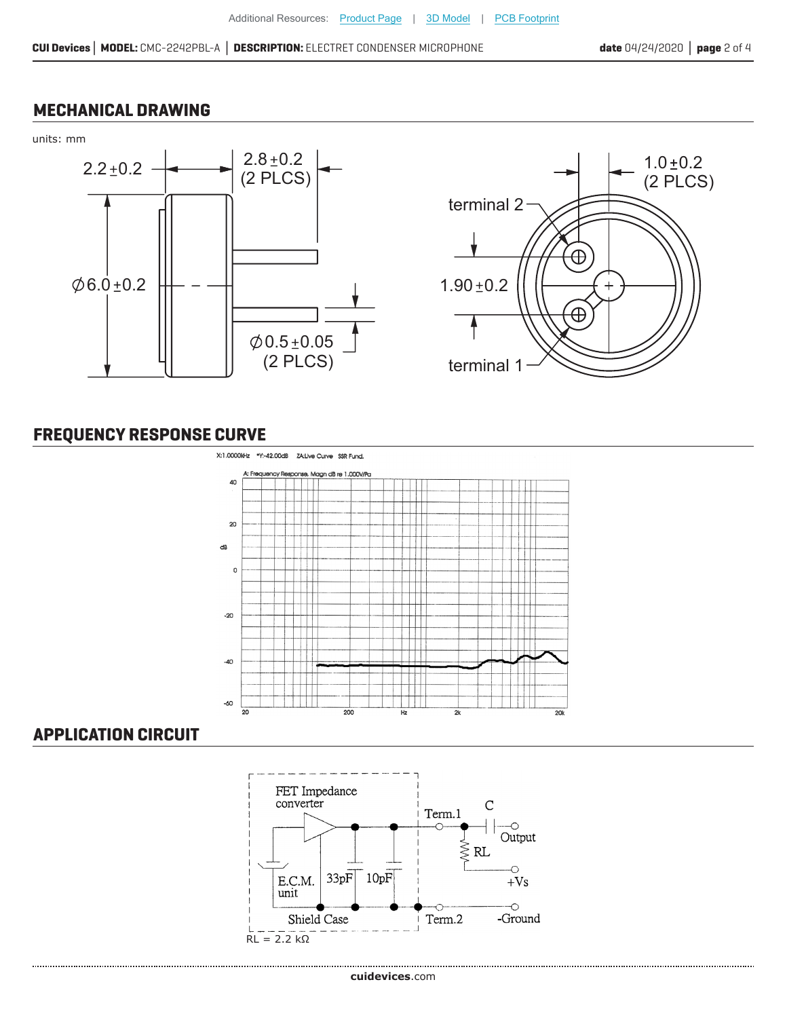#### **MECHANICAL DRAWING**



## **FREQUENCY RESPONSE CURVE**



### **APPLICATION CIRCUIT**

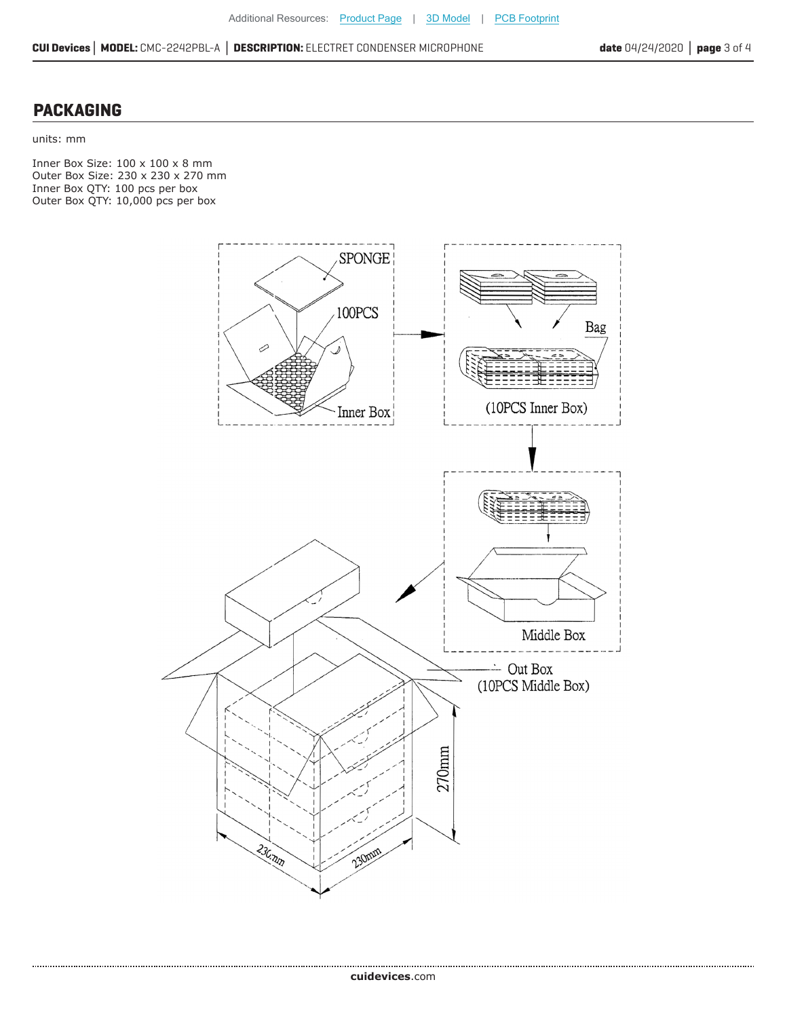**CUI Devices│ MODEL:** CMC-2242PBL-A **│ DESCRIPTION:** ELECTRET CONDENSER MICROPHONE **date** 04/24/2020 **│ page** 3 of 4

#### **PACKAGING**

units: mm

......................

Inner Box Size: 100 x 100 x 8 mm Outer Box Size: 230 x 230 x 270 mm Inner Box QTY: 100 pcs per box Outer Box QTY: 10,000 pcs per box